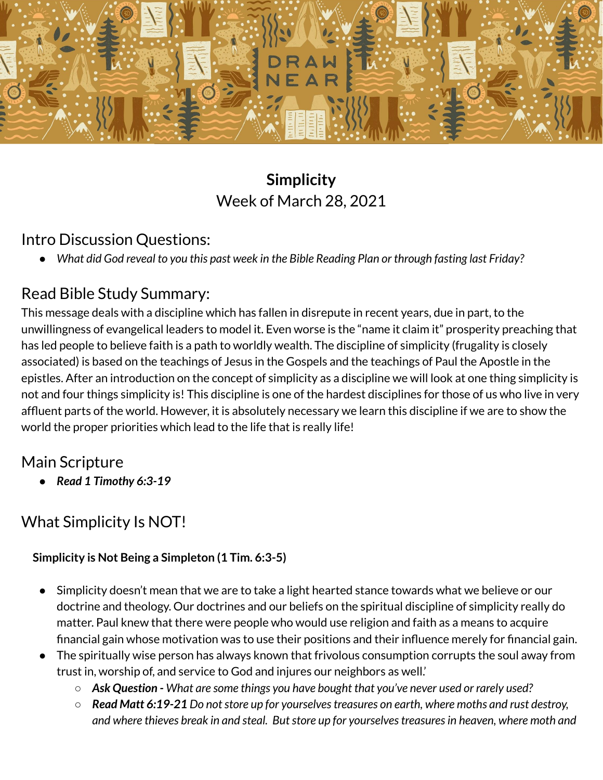

# **Simplicity** Week of March 28, 2021

### Intro Discussion Questions:

• What did God reveal to you this past week in the Bible Reading Plan or through fasting last Friday?

### Read Bible Study Summary:

This message deals with a discipline which has fallen in disrepute in recent years, due in part, to the unwillingness of evangelical leaders to model it. Even worse is the "name it claim it" prosperity preaching that has led people to believe faith is a path to worldly wealth. The discipline of simplicity (frugality is closely associated) is based on the teachings of Jesus in the Gospels and the teachings of Paul the Apostle in the epistles. After an introduction on the concept of simplicity as a discipline we will look at one thing simplicity is not and four things simplicity is! This discipline is one of the hardest disciplines for those of us who live in very affluent parts of the world. However, it is absolutely necessary we learn this discipline if we are to show the world the proper priorities which lead to the life that is really life!

## Main Scripture

*● Read 1 Timothy 6:3-19*

# What Simplicity Is NOT!

#### **Simplicity is Not Being a Simpleton (1 Tim. 6:3-5)**

- Simplicity doesn't mean that we are to take a light hearted stance towards what we believe or our doctrine and theology. Our doctrines and our beliefs on the spiritual discipline of simplicity really do matter. Paul knew that there were people who would use religion and faith as a means to acquire financial gain whose motivation was to use their positions and their influence merely for financial gain.
- The spiritually wise person has always known that frivolous consumption corrupts the soul away from trust in, worship of, and service to God and injures our neighbors as well.'
	- *Ask Question - What are some things you have bought that you've never used or rarely used?*
	- *Read Matt 6:19-21 Do notstore up for yourselvestreasures on earth, where moths and rust destroy, and where thieves break in and steal. Butstore up for yourselvestreasuresin heaven, where moth and*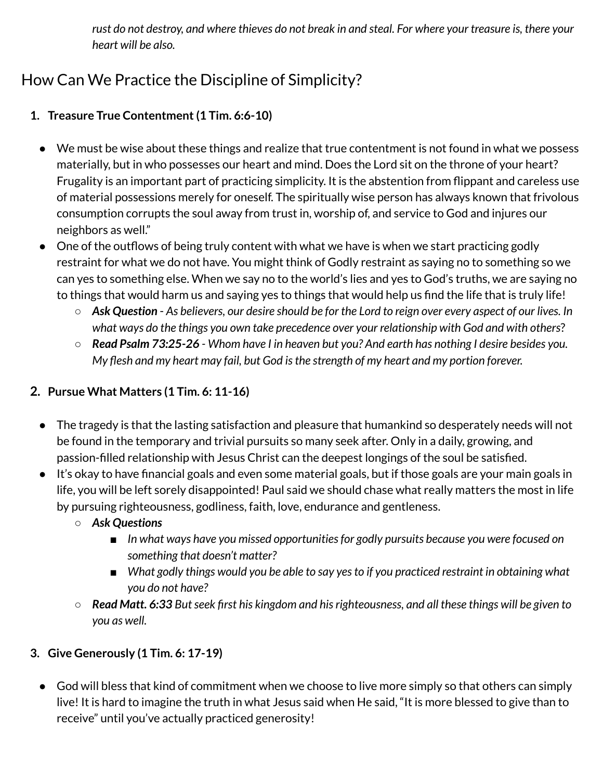rust do not destroy, and where thieves do not break in and steal. For where your treasure is, there your *heart will be also.*

# How Can We Practice the Discipline of Simplicity?

### **1. Treasure True Contentment(1 Tim. 6:6-10)**

- We must be wise about these things and realize that true contentment is not found in what we possess materially, but in who possesses our heart and mind. Does the Lord sit on the throne of your heart? Frugality is an important part of practicing simplicity. It is the abstention from flippant and careless use of material possessions merely for oneself. The spiritually wise person has always known that frivolous consumption corrupts the soul away from trust in, worship of, and service to God and injures our neighbors as well."
- One of the outflows of being truly content with what we have is when we start practicing godly restraint for what we do not have. You might think of Godly restraint as saying no to something so we can yes to something else. When we say no to the world's lies and yes to God's truths, we are saying no to things that would harm us and saying yes to things that would help us find the life that is truly life!
	- $\circ$  Ask Question As believers, our desire should be for the Lord to reign over every aspect of our lives. In *what ways do the things you own take precedence over your relationship with God and with others*?
	- $\circ$  Read Psalm 73:25-26 Whom have I in heaven but you? And earth has nothing I desire besides you. *My flesh and my heart may fail, but God isthe strength of my heart and my portion forever.*

#### **2. Pursue What Matters (1 Tim. 6: 11-16)**

- The tragedy is that the lasting satisfaction and pleasure that humankind so desperately needs will not be found in the temporary and trivial pursuits so many seek after. Only in a daily, growing, and passion-filled relationship with Jesus Christ can the deepest longings of the soul be satisfied.
- It's okay to have financial goals and even some material goals, but if those goals are your main goals in life, you will be left sorely disappointed! Paul said we should chase what really matters the most in life by pursuing righteousness, godliness, faith, love, endurance and gentleness.
	- *Ask Questions*
		- *In what ways have you missed opportunitiesfor godly pursuits because you were focused on something that doesn't matter?*
		- *What godly things would you be able to say yes to if you practiced restraint in obtaining what you do not have?*
	- $\circ$  Read Matt. 6:33 But seek first his kingdom and his righteousness, and all these things will be given to *you as well.*

#### **3. Give Generously (1 Tim. 6: 17-19)**

● God will bless that kind of commitment when we choose to live more simply so that others can simply live! It is hard to imagine the truth in what Jesus said when He said, "It is more blessed to give than to receive" until you've actually practiced generosity!